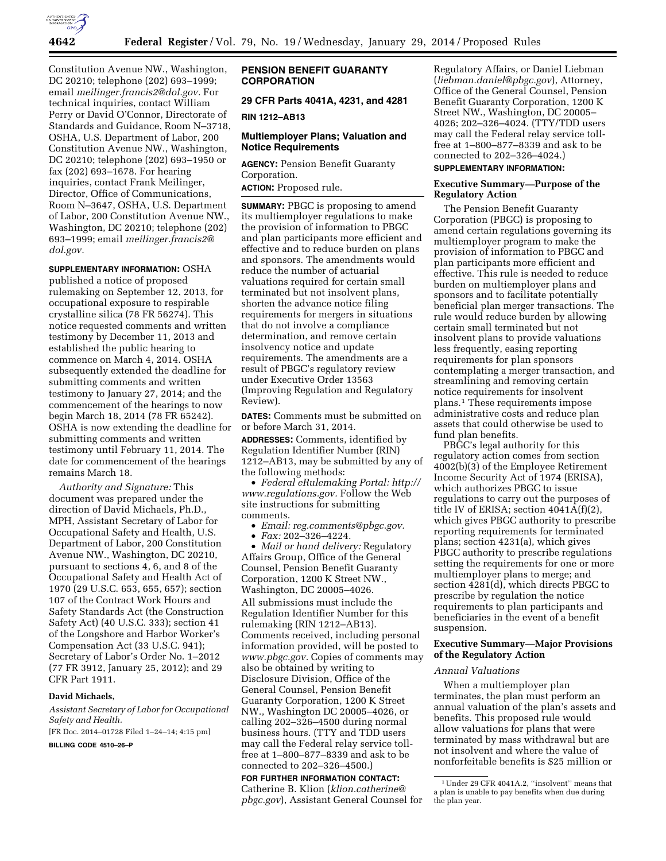

Constitution Avenue NW., Washington, DC 20210; telephone (202) 693–1999; email *[meilinger.francis2@dol.gov.](mailto:meilinger.francis2@dol.gov)* For technical inquiries, contact William Perry or David O'Connor, Directorate of Standards and Guidance, Room N–3718, OSHA, U.S. Department of Labor, 200 Constitution Avenue NW., Washington, DC 20210; telephone (202) 693–1950 or fax (202) 693–1678. For hearing inquiries, contact Frank Meilinger, Director, Office of Communications, Room N–3647, OSHA, U.S. Department of Labor, 200 Constitution Avenue NW., Washington, DC 20210; telephone (202) 693–1999; email *[meilinger.francis2@](mailto:meilinger.francis2@dol.gov) [dol.gov.](mailto:meilinger.francis2@dol.gov)* 

### **SUPPLEMENTARY INFORMATION:** OSHA

published a notice of proposed rulemaking on September 12, 2013, for occupational exposure to respirable crystalline silica (78 FR 56274). This notice requested comments and written testimony by December 11, 2013 and established the public hearing to commence on March 4, 2014. OSHA subsequently extended the deadline for submitting comments and written testimony to January 27, 2014; and the commencement of the hearings to now begin March 18, 2014 (78 FR 65242). OSHA is now extending the deadline for submitting comments and written testimony until February 11, 2014. The date for commencement of the hearings remains March 18.

*Authority and Signature:* This document was prepared under the direction of David Michaels, Ph.D., MPH, Assistant Secretary of Labor for Occupational Safety and Health, U.S. Department of Labor, 200 Constitution Avenue NW., Washington, DC 20210, pursuant to sections 4, 6, and 8 of the Occupational Safety and Health Act of 1970 (29 U.S.C. 653, 655, 657); section 107 of the Contract Work Hours and Safety Standards Act (the Construction Safety Act) (40 U.S.C. 333); section 41 of the Longshore and Harbor Worker's Compensation Act (33 U.S.C. 941); Secretary of Labor's Order No. 1–2012 (77 FR 3912, January 25, 2012); and 29 CFR Part 1911.

### **David Michaels,**

*Assistant Secretary of Labor for Occupational Safety and Health.* 

[FR Doc. 2014–01728 Filed 1–24–14; 4:15 pm]

**BILLING CODE 4510–26–P** 

## **PENSION BENEFIT GUARANTY CORPORATION**

**29 CFR Parts 4041A, 4231, and 4281** 

#### **RIN 1212–AB13**

# **Multiemployer Plans; Valuation and Notice Requirements**

**AGENCY:** Pension Benefit Guaranty Corporation.

**ACTION:** Proposed rule.

**SUMMARY:** PBGC is proposing to amend its multiemployer regulations to make the provision of information to PBGC and plan participants more efficient and effective and to reduce burden on plans and sponsors. The amendments would reduce the number of actuarial valuations required for certain small terminated but not insolvent plans, shorten the advance notice filing requirements for mergers in situations that do not involve a compliance determination, and remove certain insolvency notice and update requirements. The amendments are a result of PBGC's regulatory review under Executive Order 13563 (Improving Regulation and Regulatory Review).

**DATES:** Comments must be submitted on or before March 31, 2014.

**ADDRESSES:** Comments, identified by Regulation Identifier Number (RIN) 1212–AB13, may be submitted by any of the following methods:

• *Federal eRulemaking Portal: [http://](http://www.regulations.gov)  [www.regulations.gov.](http://www.regulations.gov)* Follow the Web site instructions for submitting comments.

- *Email: [reg.comments@pbgc.gov.](mailto:reg.comments@pbgc.gov)*
- *Fax:* 202–326–4224.

• *Mail or hand delivery:* Regulatory Affairs Group, Office of the General Counsel, Pension Benefit Guaranty Corporation, 1200 K Street NW., Washington, DC 20005–4026. All submissions must include the Regulation Identifier Number for this rulemaking (RIN 1212–AB13). Comments received, including personal information provided, will be posted to *[www.pbgc.gov.](http://www.pbgc.gov)* Copies of comments may also be obtained by writing to Disclosure Division, Office of the General Counsel, Pension Benefit Guaranty Corporation, 1200 K Street NW., Washington DC 20005–4026, or calling 202–326–4500 during normal business hours. (TTY and TDD users may call the Federal relay service tollfree at 1–800–877–8339 and ask to be connected to 202–326–4500.)

## **FOR FURTHER INFORMATION CONTACT:**  Catherine B. Klion (*[klion.catherine@](mailto:klion.catherine@pbgc.gov) [pbgc.gov](mailto:klion.catherine@pbgc.gov)*), Assistant General Counsel for

Regulatory Affairs, or Daniel Liebman (*[liebman.daniel@pbgc.gov](mailto:liebman.daniel@pbgc.gov)*), Attorney, Office of the General Counsel, Pension Benefit Guaranty Corporation, 1200 K Street NW., Washington, DC 20005– 4026; 202–326–4024. (TTY/TDD users may call the Federal relay service tollfree at 1–800–877–8339 and ask to be connected to 202–326–4024.)

# **SUPPLEMENTARY INFORMATION:**

# **Executive Summary—Purpose of the Regulatory Action**

The Pension Benefit Guaranty Corporation (PBGC) is proposing to amend certain regulations governing its multiemployer program to make the provision of information to PBGC and plan participants more efficient and effective. This rule is needed to reduce burden on multiemployer plans and sponsors and to facilitate potentially beneficial plan merger transactions. The rule would reduce burden by allowing certain small terminated but not insolvent plans to provide valuations less frequently, easing reporting requirements for plan sponsors contemplating a merger transaction, and streamlining and removing certain notice requirements for insolvent plans.1 These requirements impose administrative costs and reduce plan assets that could otherwise be used to fund plan benefits.

PBGC's legal authority for this regulatory action comes from section 4002(b)(3) of the Employee Retirement Income Security Act of 1974 (ERISA), which authorizes PBGC to issue regulations to carry out the purposes of title IV of ERISA; section 4041A(f)(2), which gives PBGC authority to prescribe reporting requirements for terminated plans; section 4231(a), which gives PBGC authority to prescribe regulations setting the requirements for one or more multiemployer plans to merge; and section 4281(d), which directs PBGC to prescribe by regulation the notice requirements to plan participants and beneficiaries in the event of a benefit suspension.

## **Executive Summary—Major Provisions of the Regulatory Action**

### *Annual Valuations*

When a multiemployer plan terminates, the plan must perform an annual valuation of the plan's assets and benefits. This proposed rule would allow valuations for plans that were terminated by mass withdrawal but are not insolvent and where the value of nonforfeitable benefits is \$25 million or

<sup>1</sup>Under 29 CFR 4041A.2, ''insolvent'' means that a plan is unable to pay benefits when due during the plan year.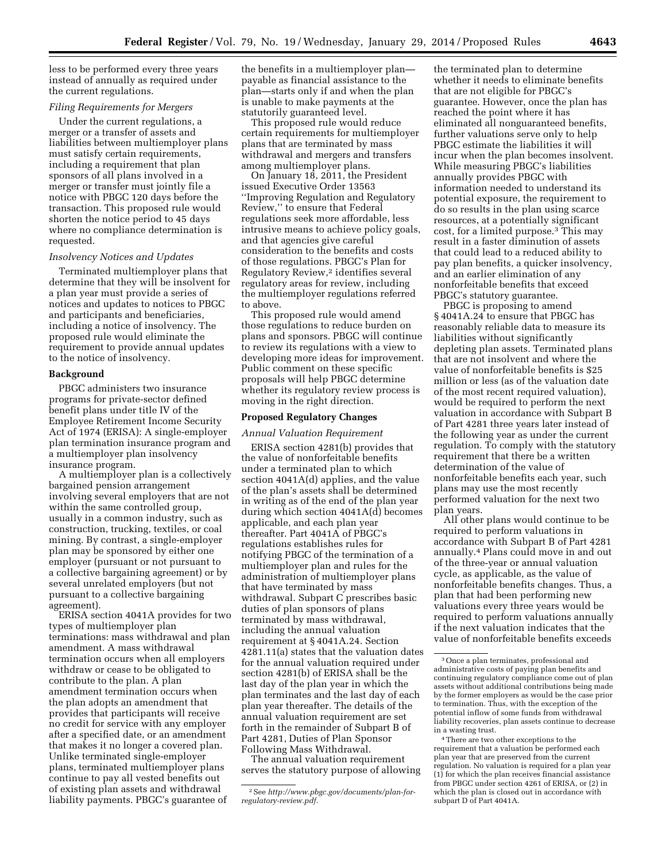less to be performed every three years instead of annually as required under the current regulations.

## *Filing Requirements for Mergers*

Under the current regulations, a merger or a transfer of assets and liabilities between multiemployer plans must satisfy certain requirements, including a requirement that plan sponsors of all plans involved in a merger or transfer must jointly file a notice with PBGC 120 days before the transaction. This proposed rule would shorten the notice period to 45 days where no compliance determination is requested.

#### *Insolvency Notices and Updates*

Terminated multiemployer plans that determine that they will be insolvent for a plan year must provide a series of notices and updates to notices to PBGC and participants and beneficiaries, including a notice of insolvency. The proposed rule would eliminate the requirement to provide annual updates to the notice of insolvency.

#### **Background**

PBGC administers two insurance programs for private-sector defined benefit plans under title IV of the Employee Retirement Income Security Act of 1974 (ERISA): A single-employer plan termination insurance program and a multiemployer plan insolvency insurance program.

A multiemployer plan is a collectively bargained pension arrangement involving several employers that are not within the same controlled group, usually in a common industry, such as construction, trucking, textiles, or coal mining. By contrast, a single-employer plan may be sponsored by either one employer (pursuant or not pursuant to a collective bargaining agreement) or by several unrelated employers (but not pursuant to a collective bargaining agreement).

ERISA section 4041A provides for two types of multiemployer plan terminations: mass withdrawal and plan amendment. A mass withdrawal termination occurs when all employers withdraw or cease to be obligated to contribute to the plan. A plan amendment termination occurs when the plan adopts an amendment that provides that participants will receive no credit for service with any employer after a specified date, or an amendment that makes it no longer a covered plan. Unlike terminated single-employer plans, terminated multiemployer plans continue to pay all vested benefits out of existing plan assets and withdrawal liability payments. PBGC's guarantee of

the benefits in a multiemployer plan payable as financial assistance to the plan—starts only if and when the plan is unable to make payments at the statutorily guaranteed level.

This proposed rule would reduce certain requirements for multiemployer plans that are terminated by mass withdrawal and mergers and transfers among multiemployer plans.

On January 18, 2011, the President issued Executive Order 13563 ''Improving Regulation and Regulatory Review,'' to ensure that Federal regulations seek more affordable, less intrusive means to achieve policy goals, and that agencies give careful consideration to the benefits and costs of those regulations. PBGC's Plan for Regulatory Review,2 identifies several regulatory areas for review, including the multiemployer regulations referred to above.

This proposed rule would amend those regulations to reduce burden on plans and sponsors. PBGC will continue to review its regulations with a view to developing more ideas for improvement. Public comment on these specific proposals will help PBGC determine whether its regulatory review process is moving in the right direction.

### **Proposed Regulatory Changes**

#### *Annual Valuation Requirement*

ERISA section 4281(b) provides that the value of nonforfeitable benefits under a terminated plan to which section 4041A(d) applies, and the value of the plan's assets shall be determined in writing as of the end of the plan year during which section 4041A(d) becomes applicable, and each plan year thereafter. Part 4041A of PBGC's regulations establishes rules for notifying PBGC of the termination of a multiemployer plan and rules for the administration of multiemployer plans that have terminated by mass withdrawal. Subpart C prescribes basic duties of plan sponsors of plans terminated by mass withdrawal, including the annual valuation requirement at § 4041A.24. Section 4281.11(a) states that the valuation dates for the annual valuation required under section 4281(b) of ERISA shall be the last day of the plan year in which the plan terminates and the last day of each plan year thereafter. The details of the annual valuation requirement are set forth in the remainder of Subpart B of Part 4281, Duties of Plan Sponsor Following Mass Withdrawal.

The annual valuation requirement serves the statutory purpose of allowing

the terminated plan to determine whether it needs to eliminate benefits that are not eligible for PBGC's guarantee. However, once the plan has reached the point where it has eliminated all nonguaranteed benefits, further valuations serve only to help PBGC estimate the liabilities it will incur when the plan becomes insolvent. While measuring PBGC's liabilities annually provides PBGC with information needed to understand its potential exposure, the requirement to do so results in the plan using scarce resources, at a potentially significant cost, for a limited purpose.3 This may result in a faster diminution of assets that could lead to a reduced ability to pay plan benefits, a quicker insolvency, and an earlier elimination of any nonforfeitable benefits that exceed PBGC's statutory guarantee.

PBGC is proposing to amend § 4041A.24 to ensure that PBGC has reasonably reliable data to measure its liabilities without significantly depleting plan assets. Terminated plans that are not insolvent and where the value of nonforfeitable benefits is \$25 million or less (as of the valuation date of the most recent required valuation), would be required to perform the next valuation in accordance with Subpart B of Part 4281 three years later instead of the following year as under the current regulation. To comply with the statutory requirement that there be a written determination of the value of nonforfeitable benefits each year, such plans may use the most recently performed valuation for the next two plan years.

All other plans would continue to be required to perform valuations in accordance with Subpart B of Part 4281 annually.4 Plans could move in and out of the three-year or annual valuation cycle, as applicable, as the value of nonforfeitable benefits changes. Thus, a plan that had been performing new valuations every three years would be required to perform valuations annually if the next valuation indicates that the value of nonforfeitable benefits exceeds

<sup>2</sup>See *[http://www.pbgc.gov/documents/plan-for](http://www.pbgc.gov/documents/plan-for-regulatory-review.pdf)[regulatory-review.pdf.](http://www.pbgc.gov/documents/plan-for-regulatory-review.pdf)* 

<sup>3</sup>Once a plan terminates, professional and administrative costs of paying plan benefits and continuing regulatory compliance come out of plan assets without additional contributions being made by the former employers as would be the case prior to termination. Thus, with the exception of the potential inflow of some funds from withdrawal liability recoveries, plan assets continue to decrease in a wasting trust.

<sup>4</sup>There are two other exceptions to the requirement that a valuation be performed each plan year that are preserved from the current regulation. No valuation is required for a plan year (1) for which the plan receives financial assistance from PBGC under section 4261 of ERISA, or (2) in which the plan is closed out in accordance with subpart D of Part 4041A.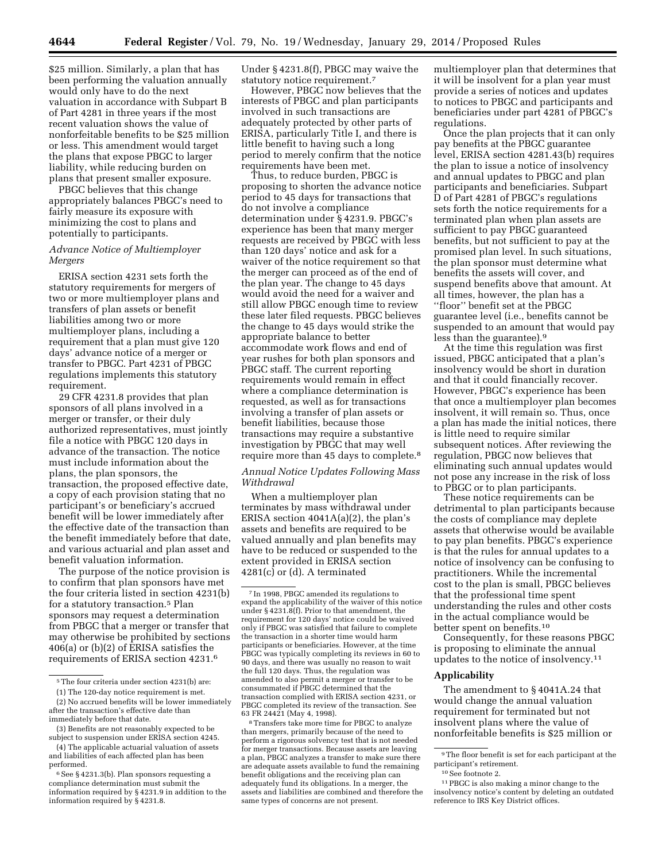\$25 million. Similarly, a plan that has been performing the valuation annually would only have to do the next valuation in accordance with Subpart B of Part 4281 in three years if the most recent valuation shows the value of nonforfeitable benefits to be \$25 million or less. This amendment would target the plans that expose PBGC to larger liability, while reducing burden on plans that present smaller exposure.

PBGC believes that this change appropriately balances PBGC's need to fairly measure its exposure with minimizing the cost to plans and potentially to participants.

# *Advance Notice of Multiemployer Mergers*

ERISA section 4231 sets forth the statutory requirements for mergers of two or more multiemployer plans and transfers of plan assets or benefit liabilities among two or more multiemployer plans, including a requirement that a plan must give 120 days' advance notice of a merger or transfer to PBGC. Part 4231 of PBGC regulations implements this statutory requirement.

29 CFR 4231.8 provides that plan sponsors of all plans involved in a merger or transfer, or their duly authorized representatives, must jointly file a notice with PBGC 120 days in advance of the transaction. The notice must include information about the plans, the plan sponsors, the transaction, the proposed effective date, a copy of each provision stating that no participant's or beneficiary's accrued benefit will be lower immediately after the effective date of the transaction than the benefit immediately before that date, and various actuarial and plan asset and benefit valuation information.

The purpose of the notice provision is to confirm that plan sponsors have met the four criteria listed in section 4231(b) for a statutory transaction.5 Plan sponsors may request a determination from PBGC that a merger or transfer that may otherwise be prohibited by sections 406(a) or (b)(2) of ERISA satisfies the requirements of ERISA section 4231.6

Under § 4231.8(f), PBGC may waive the statutory notice requirement.7

However, PBGC now believes that the interests of PBGC and plan participants involved in such transactions are adequately protected by other parts of ERISA, particularly Title I, and there is little benefit to having such a long period to merely confirm that the notice requirements have been met.

Thus, to reduce burden, PBGC is proposing to shorten the advance notice period to 45 days for transactions that do not involve a compliance determination under § 4231.9. PBGC's experience has been that many merger requests are received by PBGC with less than 120 days' notice and ask for a waiver of the notice requirement so that the merger can proceed as of the end of the plan year. The change to 45 days would avoid the need for a waiver and still allow PBGC enough time to review these later filed requests. PBGC believes the change to 45 days would strike the appropriate balance to better accommodate work flows and end of year rushes for both plan sponsors and PBGC staff. The current reporting requirements would remain in effect where a compliance determination is requested, as well as for transactions involving a transfer of plan assets or benefit liabilities, because those transactions may require a substantive investigation by PBGC that may well require more than 45 days to complete.8

## *Annual Notice Updates Following Mass Withdrawal*

When a multiemployer plan terminates by mass withdrawal under ERISA section 4041A(a)(2), the plan's assets and benefits are required to be valued annually and plan benefits may have to be reduced or suspended to the extent provided in ERISA section 4281(c) or (d). A terminated

8Transfers take more time for PBGC to analyze than mergers, primarily because of the need to perform a rigorous solvency test that is not needed for merger transactions. Because assets are leaving a plan, PBGC analyzes a transfer to make sure there are adequate assets available to fund the remaining benefit obligations and the receiving plan can adequately fund its obligations. In a merger, the assets and liabilities are combined and therefore the same types of concerns are not present.

multiemployer plan that determines that it will be insolvent for a plan year must provide a series of notices and updates to notices to PBGC and participants and beneficiaries under part 4281 of PBGC's regulations.

Once the plan projects that it can only pay benefits at the PBGC guarantee level, ERISA section 4281.43(b) requires the plan to issue a notice of insolvency and annual updates to PBGC and plan participants and beneficiaries. Subpart D of Part 4281 of PBGC's regulations sets forth the notice requirements for a terminated plan when plan assets are sufficient to pay PBGC guaranteed benefits, but not sufficient to pay at the promised plan level. In such situations, the plan sponsor must determine what benefits the assets will cover, and suspend benefits above that amount. At all times, however, the plan has a ''floor'' benefit set at the PBGC guarantee level (i.e., benefits cannot be suspended to an amount that would pay less than the guarantee).9

At the time this regulation was first issued, PBGC anticipated that a plan's insolvency would be short in duration and that it could financially recover. However, PBGC's experience has been that once a multiemployer plan becomes insolvent, it will remain so. Thus, once a plan has made the initial notices, there is little need to require similar subsequent notices. After reviewing the regulation, PBGC now believes that eliminating such annual updates would not pose any increase in the risk of loss to PBGC or to plan participants.

These notice requirements can be detrimental to plan participants because the costs of compliance may deplete assets that otherwise would be available to pay plan benefits. PBGC's experience is that the rules for annual updates to a notice of insolvency can be confusing to practitioners. While the incremental cost to the plan is small, PBGC believes that the professional time spent understanding the rules and other costs in the actual compliance would be better spent on benefits.10

Consequently, for these reasons PBGC is proposing to eliminate the annual updates to the notice of insolvency.11

## **Applicability**

The amendment to § 4041A.24 that would change the annual valuation requirement for terminated but not insolvent plans where the value of nonforfeitable benefits is \$25 million or

 $^{\rm 5}$  The four criteria under section 4231(b) are:

<sup>(1)</sup> The 120-day notice requirement is met.

<sup>(2)</sup> No accrued benefits will be lower immediately after the transaction's effective date than immediately before that date.

<sup>(3)</sup> Benefits are not reasonably expected to be subject to suspension under ERISA section 4245.

<sup>(4)</sup> The applicable actuarial valuation of assets and liabilities of each affected plan has been performed.

<sup>6</sup>See § 4231.3(b). Plan sponsors requesting a compliance determination must submit the information required by § 4231.9 in addition to the information required by § 4231.8.

<sup>7</sup> In 1998, PBGC amended its regulations to expand the applicability of the waiver of this notice under § 4231.8(f). Prior to that amendment, the requirement for 120 days' notice could be waived only if PBGC was satisfied that failure to complete the transaction in a shorter time would harm participants or beneficiaries. However, at the time PBGC was typically completing its reviews in 60 to 90 days, and there was usually no reason to wait the full 120 days. Thus, the regulation was amended to also permit a merger or transfer to be consummated if PBGC determined that the transaction complied with ERISA section 4231, or PBGC completed its review of the transaction. See 63 FR 24421 (May 4, 1998).

<sup>9</sup>The floor benefit is set for each participant at the participant's retirement.

<sup>10</sup>See footnote 2.

<sup>11</sup>PBGC is also making a minor change to the insolvency notice's content by deleting an outdated reference to IRS Key District offices.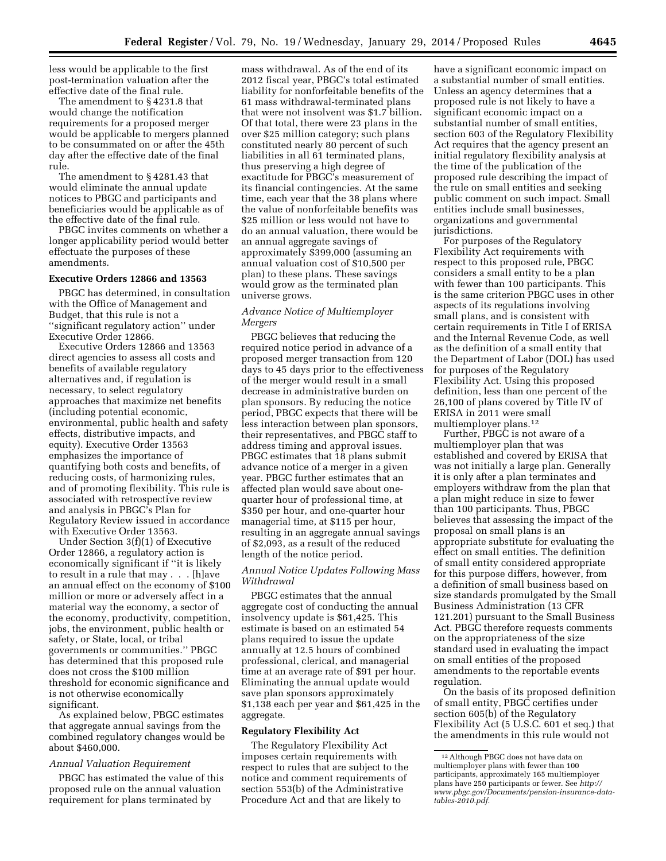less would be applicable to the first post-termination valuation after the effective date of the final rule.

The amendment to § 4231.8 that would change the notification requirements for a proposed merger would be applicable to mergers planned to be consummated on or after the 45th day after the effective date of the final rule.

The amendment to § 4281.43 that would eliminate the annual update notices to PBGC and participants and beneficiaries would be applicable as of the effective date of the final rule.

PBGC invites comments on whether a longer applicability period would better effectuate the purposes of these amendments.

### **Executive Orders 12866 and 13563**

PBGC has determined, in consultation with the Office of Management and Budget, that this rule is not a ''significant regulatory action'' under Executive Order 12866.

Executive Orders 12866 and 13563 direct agencies to assess all costs and benefits of available regulatory alternatives and, if regulation is necessary, to select regulatory approaches that maximize net benefits (including potential economic, environmental, public health and safety effects, distributive impacts, and equity). Executive Order 13563 emphasizes the importance of quantifying both costs and benefits, of reducing costs, of harmonizing rules, and of promoting flexibility. This rule is associated with retrospective review and analysis in PBGC's Plan for Regulatory Review issued in accordance with Executive Order 13563.

Under Section 3(f)(1) of Executive Order 12866, a regulatory action is economically significant if ''it is likely to result in a rule that may . . . [h]ave an annual effect on the economy of \$100 million or more or adversely affect in a material way the economy, a sector of the economy, productivity, competition, jobs, the environment, public health or safety, or State, local, or tribal governments or communities.'' PBGC has determined that this proposed rule does not cross the \$100 million threshold for economic significance and is not otherwise economically significant.

As explained below, PBGC estimates that aggregate annual savings from the combined regulatory changes would be about \$460,000.

### *Annual Valuation Requirement*

PBGC has estimated the value of this proposed rule on the annual valuation requirement for plans terminated by

mass withdrawal. As of the end of its 2012 fiscal year, PBGC's total estimated liability for nonforfeitable benefits of the 61 mass withdrawal-terminated plans that were not insolvent was \$1.7 billion. Of that total, there were 23 plans in the over \$25 million category; such plans constituted nearly 80 percent of such liabilities in all 61 terminated plans, thus preserving a high degree of exactitude for PBGC's measurement of its financial contingencies. At the same time, each year that the 38 plans where the value of nonforfeitable benefits was \$25 million or less would not have to do an annual valuation, there would be an annual aggregate savings of approximately \$399,000 (assuming an annual valuation cost of \$10,500 per plan) to these plans. These savings would grow as the terminated plan universe grows.

## *Advance Notice of Multiemployer Mergers*

PBGC believes that reducing the required notice period in advance of a proposed merger transaction from 120 days to 45 days prior to the effectiveness of the merger would result in a small decrease in administrative burden on plan sponsors. By reducing the notice period, PBGC expects that there will be less interaction between plan sponsors, their representatives, and PBGC staff to address timing and approval issues. PBGC estimates that 18 plans submit advance notice of a merger in a given year. PBGC further estimates that an affected plan would save about onequarter hour of professional time, at \$350 per hour, and one-quarter hour managerial time, at \$115 per hour, resulting in an aggregate annual savings of \$2,093, as a result of the reduced length of the notice period.

## *Annual Notice Updates Following Mass Withdrawal*

PBGC estimates that the annual aggregate cost of conducting the annual insolvency update is \$61,425. This estimate is based on an estimated 54 plans required to issue the update annually at 12.5 hours of combined professional, clerical, and managerial time at an average rate of \$91 per hour. Eliminating the annual update would save plan sponsors approximately \$1,138 each per year and \$61,425 in the aggregate.

#### **Regulatory Flexibility Act**

The Regulatory Flexibility Act imposes certain requirements with respect to rules that are subject to the notice and comment requirements of section 553(b) of the Administrative Procedure Act and that are likely to

have a significant economic impact on a substantial number of small entities. Unless an agency determines that a proposed rule is not likely to have a significant economic impact on a substantial number of small entities, section 603 of the Regulatory Flexibility Act requires that the agency present an initial regulatory flexibility analysis at the time of the publication of the proposed rule describing the impact of the rule on small entities and seeking public comment on such impact. Small entities include small businesses, organizations and governmental jurisdictions.

For purposes of the Regulatory Flexibility Act requirements with respect to this proposed rule, PBGC considers a small entity to be a plan with fewer than 100 participants. This is the same criterion PBGC uses in other aspects of its regulations involving small plans, and is consistent with certain requirements in Title I of ERISA and the Internal Revenue Code, as well as the definition of a small entity that the Department of Labor (DOL) has used for purposes of the Regulatory Flexibility Act. Using this proposed definition, less than one percent of the 26,100 of plans covered by Title IV of ERISA in 2011 were small multiemployer plans.12

Further, PBGC is not aware of a multiemployer plan that was established and covered by ERISA that was not initially a large plan. Generally it is only after a plan terminates and employers withdraw from the plan that a plan might reduce in size to fewer than 100 participants. Thus, PBGC believes that assessing the impact of the proposal on small plans is an appropriate substitute for evaluating the effect on small entities. The definition of small entity considered appropriate for this purpose differs, however, from a definition of small business based on size standards promulgated by the Small Business Administration (13 CFR 121.201) pursuant to the Small Business Act. PBGC therefore requests comments on the appropriateness of the size standard used in evaluating the impact on small entities of the proposed amendments to the reportable events regulation.

On the basis of its proposed definition of small entity, PBGC certifies under section 605(b) of the Regulatory Flexibility Act (5 U.S.C. 601 et seq.) that the amendments in this rule would not

<sup>12</sup>Although PBGC does not have data on multiemployer plans with fewer than 100 participants, approximately 165 multiemployer plans have 250 participants or fewer. See *[http://](http://www.pbgc.gov/Documents/pension-insurance-data-tables-2010.pdf) [www.pbgc.gov/Documents/pension-insurance-data](http://www.pbgc.gov/Documents/pension-insurance-data-tables-2010.pdf)[tables-2010.pdf.](http://www.pbgc.gov/Documents/pension-insurance-data-tables-2010.pdf)*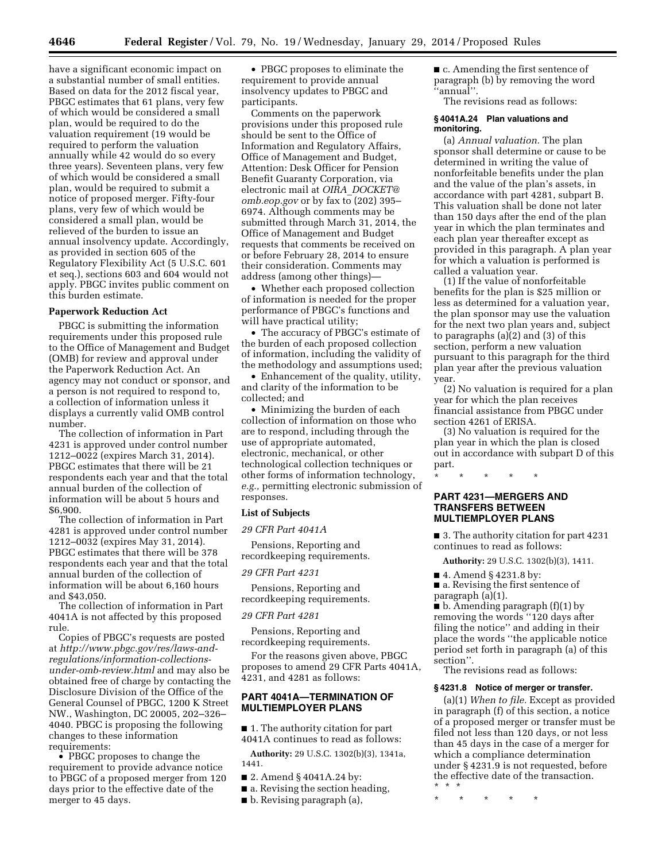have a significant economic impact on a substantial number of small entities. Based on data for the 2012 fiscal year, PBGC estimates that 61 plans, very few of which would be considered a small plan, would be required to do the valuation requirement (19 would be required to perform the valuation annually while 42 would do so every three years). Seventeen plans, very few of which would be considered a small plan, would be required to submit a notice of proposed merger. Fifty-four plans, very few of which would be considered a small plan, would be relieved of the burden to issue an annual insolvency update. Accordingly, as provided in section 605 of the Regulatory Flexibility Act (5 U.S.C. 601 et seq.), sections 603 and 604 would not apply. PBGC invites public comment on this burden estimate.

#### **Paperwork Reduction Act**

PBGC is submitting the information requirements under this proposed rule to the Office of Management and Budget (OMB) for review and approval under the Paperwork Reduction Act. An agency may not conduct or sponsor, and a person is not required to respond to, a collection of information unless it displays a currently valid OMB control number.

The collection of information in Part 4231 is approved under control number 1212–0022 (expires March 31, 2014). PBGC estimates that there will be 21 respondents each year and that the total annual burden of the collection of information will be about 5 hours and \$6,900.

The collection of information in Part 4281 is approved under control number 1212–0032 (expires May 31, 2014). PBGC estimates that there will be 378 respondents each year and that the total annual burden of the collection of information will be about 6,160 hours and \$43,050.

The collection of information in Part 4041A is not affected by this proposed rule.

Copies of PBGC's requests are posted at *http:/[/www.pbgc.gov/](http://www.pbgc.gov)res/laws-andregulations/information-collectionsunder-omb-review.html* and may also be obtained free of charge by contacting the Disclosure Division of the Office of the General Counsel of PBGC, 1200 K Street NW., Washington, DC 20005, 202–326– 4040. PBGC is proposing the following changes to these information requirements:

• PBGC proposes to change the requirement to provide advance notice to PBGC of a proposed merger from 120 days prior to the effective date of the merger to 45 days.

• PBGC proposes to eliminate the requirement to provide annual insolvency updates to PBGC and participants.

Comments on the paperwork provisions under this proposed rule should be sent to the Office of Information and Regulatory Affairs, Office of Management and Budget, Attention: Desk Officer for Pension Benefit Guaranty Corporation, via electronic mail at *OIRA*\_*[DOCKET@](mailto:OIRA_DOCKET@omb.eop.gov) [omb.eop.gov](mailto:OIRA_DOCKET@omb.eop.gov)* or by fax to (202) 395– 6974. Although comments may be submitted through March 31, 2014, the Office of Management and Budget requests that comments be received on or before February 28, 2014 to ensure their consideration. Comments may address (among other things)—

• Whether each proposed collection of information is needed for the proper performance of PBGC's functions and will have practical utility;

• The accuracy of PBGC's estimate of the burden of each proposed collection of information, including the validity of the methodology and assumptions used;

• Enhancement of the quality, utility, and clarity of the information to be collected; and

• Minimizing the burden of each collection of information on those who are to respond, including through the use of appropriate automated, electronic, mechanical, or other technological collection techniques or other forms of information technology, *e.g.,* permitting electronic submission of responses.

### **List of Subjects**

*29 CFR Part 4041A* 

Pensions, Reporting and recordkeeping requirements.

*29 CFR Part 4231* 

Pensions, Reporting and recordkeeping requirements.

### *29 CFR Part 4281*

Pensions, Reporting and recordkeeping requirements.

For the reasons given above, PBGC proposes to amend 29 CFR Parts 4041A, 4231, and 4281 as follows:

## **PART 4041A—TERMINATION OF MULTIEMPLOYER PLANS**

■ 1. The authority citation for part 4041A continues to read as follows:

**Authority:** 29 U.S.C. 1302(b)(3), 1341a, 1441.

- 2. Amend § 4041A.24 by:
- a. Revising the section heading,
- b. Revising paragraph (a),

■ c. Amending the first sentence of paragraph (b) by removing the word 'annual''.

The revisions read as follows:

### **§ 4041A.24 Plan valuations and monitoring.**

(a) *Annual valuation.* The plan sponsor shall determine or cause to be determined in writing the value of nonforfeitable benefits under the plan and the value of the plan's assets, in accordance with part 4281, subpart B. This valuation shall be done not later than 150 days after the end of the plan year in which the plan terminates and each plan year thereafter except as provided in this paragraph. A plan year for which a valuation is performed is called a valuation year.

(1) If the value of nonforfeitable benefits for the plan is \$25 million or less as determined for a valuation year, the plan sponsor may use the valuation for the next two plan years and, subject to paragraphs (a)(2) and (3) of this section, perform a new valuation pursuant to this paragraph for the third plan year after the previous valuation year.

(2) No valuation is required for a plan year for which the plan receives financial assistance from PBGC under section 4261 of ERISA.

(3) No valuation is required for the plan year in which the plan is closed out in accordance with subpart D of this part.

\* \* \* \* \*

## **PART 4231—MERGERS AND TRANSFERS BETWEEN MULTIEMPLOYER PLANS**

■ 3. The authority citation for part 4231 continues to read as follows:

**Authority:** 29 U.S.C. 1302(b)(3), 1411.

■ 4. Amend § 4231.8 by:

■ a. Revising the first sentence of paragraph (a)(1).

 $\bullet$  b. Amending paragraph (f)(1) by removing the words ''120 days after filing the notice'' and adding in their place the words ''the applicable notice period set forth in paragraph (a) of this section''.

The revisions read as follows:

### **§ 4231.8 Notice of merger or transfer.**

(a)(1) *When to file.* Except as provided in paragraph (f) of this section, a notice of a proposed merger or transfer must be filed not less than 120 days, or not less than 45 days in the case of a merger for which a compliance determination under § 4231.9 is not requested, before the effective date of the transaction. \* \* \*

\* \* \* \* \*